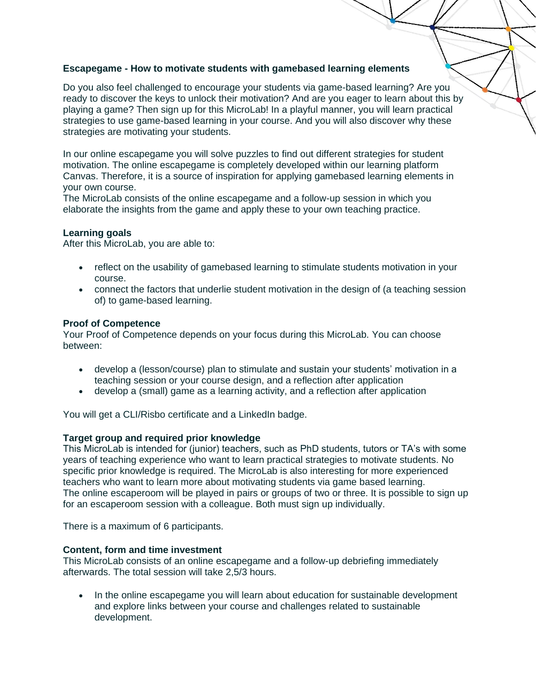## **Escapegame - How to motivate students with gamebased learning elements**

Do you also feel challenged to encourage your students via game-based learning? Are you ready to discover the keys to unlock their motivation? And are you eager to learn about this by playing a game? Then sign up for this MicroLab! In a playful manner, you will learn practical strategies to use game-based learning in your course. And you will also discover why these strategies are motivating your students.

In our online escapegame you will solve puzzles to find out different strategies for student motivation. The online escapegame is completely developed within our learning platform Canvas. Therefore, it is a source of inspiration for applying gamebased learning elements in your own course.

The MicroLab consists of the online escapegame and a follow-up session in which you elaborate the insights from the game and apply these to your own teaching practice.

## **Learning goals**

After this MicroLab, you are able to:

- reflect on the usability of gamebased learning to stimulate students motivation in your course.
- connect the factors that underlie student motivation in the design of (a teaching session of) to game-based learning.

#### **Proof of Competence**

Your Proof of Competence depends on your focus during this MicroLab. You can choose between:

- develop a (lesson/course) plan to stimulate and sustain your students' motivation in a teaching session or your course design, and a reflection after application
- develop a (small) game as a learning activity, and a reflection after application

You will get a CLI/Risbo certificate and a LinkedIn badge.

#### **Target group and required prior knowledge**

This MicroLab is intended for (junior) teachers, such as PhD students, tutors or TA's with some years of teaching experience who want to learn practical strategies to motivate students. No specific prior knowledge is required. The MicroLab is also interesting for more experienced teachers who want to learn more about motivating students via game based learning. The online escaperoom will be played in pairs or groups of two or three. It is possible to sign up for an escaperoom session with a colleague. Both must sign up individually.

There is a maximum of 6 participants.

#### **Content, form and time investment**

This MicroLab consists of an online escapegame and a follow-up debriefing immediately afterwards. The total session will take 2,5/3 hours.

• In the online escapegame you will learn about education for sustainable development and explore links between your course and challenges related to sustainable development.